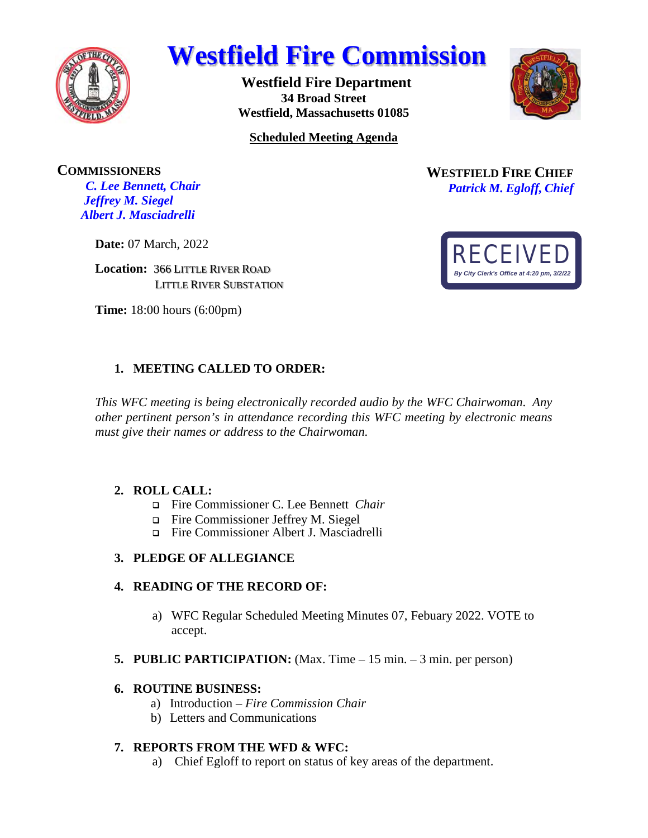

# **Westfield Fire Commission**

**Westfield Fire Department 34 Broad Street Westfield, Massachusetts 01085** 



**Scheduled Meeting Agenda** 

**COMMISSIONERS** *C. Lee Bennett, Chair Jeffrey M. Siegel Albert J. Masciadrelli* 

**Date:** 07 March, 2022

**Location:** 366 LITTLE RIVER ROAD LITTLE RIVER SUBSTATION

**Time:** 18:00 hours (6:00pm)

## **1. MEETING CALLED TO ORDER:**

*This WFC meeting is being electronically recorded audio by the WFC Chairwoman*. *Any other pertinent person's in attendance recording this WFC meeting by electronic means must give their names or address to the Chairwoman*.

## **2. ROLL CALL:**

- Fire Commissioner C. Lee Bennett *Chair*
- Fire Commissioner Jeffrey M. Siegel
- Fire Commissioner Albert J. Masciadrelli

## **3. PLEDGE OF ALLEGIANCE**

## **4. READING OF THE RECORD OF:**

- a) WFC Regular Scheduled Meeting Minutes 07, Febuary 2022. VOTE to accept.
- **5. PUBLIC PARTICIPATION:** (Max. Time 15 min. 3 min. per person)

## **6. ROUTINE BUSINESS:**

- a) Introduction *Fire Commission Chair*
- b) Letters and Communications

## **7. REPORTS FROM THE WFD & WFC:**

a) Chief Egloff to report on status of key areas of the department.

**WESTFIELD FIRE CHIEF** *Patrick M. Egloff, Chief*